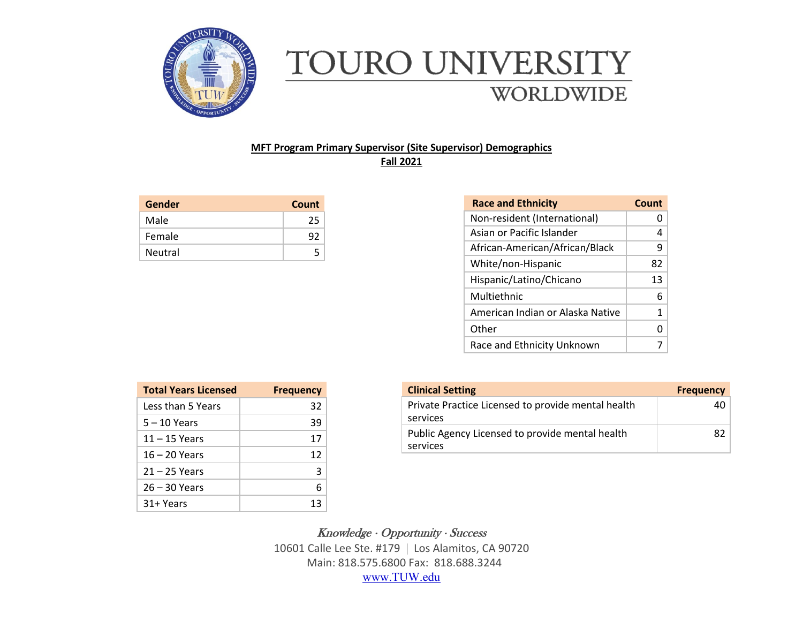

## TOURO UNIVERSITY **WORLDWIDE**

## **MFT Program Primary Supervisor (Site Supervisor) Demographics Fall 2021**

| Gender  | Count |
|---------|-------|
| Male    | 25    |
| Female  | 92    |
| Neutral | 5     |

| <b>Race and Ethnicity</b>        | Count |
|----------------------------------|-------|
| Non-resident (International)     |       |
| Asian or Pacific Islander        | 4     |
| African-American/African/Black   | 9     |
| White/non-Hispanic               | 82    |
| Hispanic/Latino/Chicano          | 13    |
| Multiethnic                      | 6     |
| American Indian or Alaska Native | 1     |
| Other                            | O     |
| Race and Ethnicity Unknown       |       |

| <b>Total Years Licensed</b> | <b>Frequency</b> |
|-----------------------------|------------------|
| Less than 5 Years           | 32               |
| $5 - 10$ Years              | 39               |
| $11 - 15$ Years             | 17               |
| 16 – 20 Years               | 12               |
| $21 - 25$ Years             | 3                |
| $26 - 30$ Years             | 6                |
| $31 + Years$                | 13               |

| <b>Clinical Setting</b>                                        | <b>Frequency</b> |
|----------------------------------------------------------------|------------------|
| Private Practice Licensed to provide mental health<br>services | 40               |
| Public Agency Licensed to provide mental health<br>services    | 82               |

 $Knowledge \cdot Opportunity \cdot Success$ 

10601 Calle Lee Ste. #179 Los Alamitos, CA 90720 Main: 818.575.6800 Fax: 818.688.3244 [www.TUW.edu](http://www.tuw.edu/)